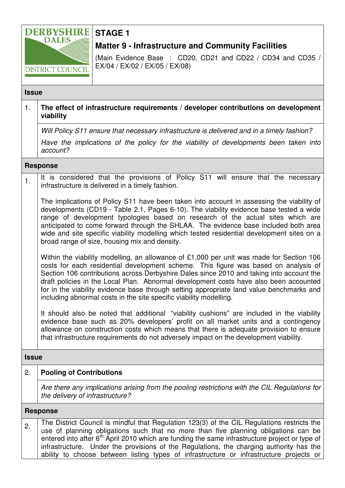

# **STAGE 1**

# **Matter 9 - Infrastructure and Community Facilities**

(Main Evidence Base : CD20, CD21 and CD22 / CD34 and CD35 / EX/04 / EX/02 / EX/05 / EX/08)

#### **Issue**

## 1. **The effect of infrastructure requirements / developer contributions on development viability**

Will Policy S11 ensure that necessary infrastructure is delivered and in a timely fashion?

Have the implications of the policy for the viability of developments been taken into account?

#### **Response**

1. It is considered that the provisions of Policy S11 will ensure that the necessary infrastructure is delivered in a timely fashion.

The implications of Policy S11 have been taken into account in assessing the viability of developments (CD19 - Table 2.1, Pages 6-10). The viability evidence base tested a wide range of development typologies based on research of the actual sites which are anticipated to come forward through the SHLAA. The evidence base included both area wide and site specific viability modelling which tested residential development sites on a broad range of size, housing mix and density.

Within the viability modelling, an allowance of £1,000 per unit was made for Section 106 costs for each residential development scheme. This figure was based on analysis of Section 106 contributions across Derbyshire Dales since 2010 and taking into account the draft policies in the Local Plan. Abnormal development costs have also been accounted for in the viability evidence base through setting appropriate land value benchmarks and including abnormal costs in the site specific viability modelling.

It should also be noted that additional "viability cushions" are included in the viability evidence base such as 20% developers' profit on all market units and a contingency allowance on construction costs which means that there is adequate provision to ensure that infrastructure requirements do not adversely impact on the development viability.

### **Issue**

# 2. **Pooling of Contributions**

Are there any implications arising from the pooling restrictions with the CIL Regulations for the delivery of infrastructure?

#### **Response**

2. The District Council is mindful that Regulation 123(3) of the CIL Regulations restricts the use of planning obligations such that no more than five planning obligations can be entered into after 6<sup>th</sup> April 2010 which are funding the same infrastructure project or type of infrastructure. Under the provisions of the Regulations, the charging authority has the ability to choose between listing types of infrastructure or infrastructure projects or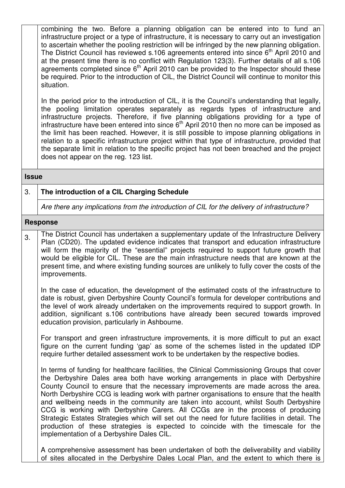combining the two. Before a planning obligation can be entered into to fund an infrastructure project or a type of infrastructure, it is necessary to carry out an investigation to ascertain whether the pooling restriction will be infringed by the new planning obligation. The District Council has reviewed s.106 agreements entered into since  $6<sup>th</sup>$  April 2010 and at the present time there is no conflict with Regulation 123(3). Further details of all s.106 agreements completed since  $6<sup>th</sup>$  April 2010 can be provided to the Inspector should these be required. Prior to the introduction of CIL, the District Council will continue to monitor this situation.

In the period prior to the introduction of CIL, it is the Council's understanding that legally, the pooling limitation operates separately as regards types of infrastructure and infrastructure projects. Therefore, if five planning obligations providing for a type of infrastructure have been entered into since  $6<sup>th</sup>$  April 2010 then no more can be imposed as the limit has been reached. However, it is still possible to impose planning obligations in relation to a specific infrastructure project within that type of infrastructure, provided that the separate limit in relation to the specific project has not been breached and the project does not appear on the reg. 123 list.

#### **Issue**

# 3. **The introduction of a CIL Charging Schedule**

Are there any implications from the introduction of CIL for the delivery of infrastructure?

#### **Response**

3. The District Council has undertaken a supplementary update of the Infrastructure Delivery Plan (CD20). The updated evidence indicates that transport and education infrastructure will form the majority of the "essential" projects required to support future growth that would be eligible for CIL. These are the main infrastructure needs that are known at the present time, and where existing funding sources are unlikely to fully cover the costs of the improvements.

In the case of education, the development of the estimated costs of the infrastructure to date is robust, given Derbyshire County Council's formula for developer contributions and the level of work already undertaken on the improvements required to support growth. In addition, significant s.106 contributions have already been secured towards improved education provision, particularly in Ashbourne.

For transport and green infrastructure improvements, it is more difficult to put an exact figure on the current funding 'gap' as some of the schemes listed in the updated IDP require further detailed assessment work to be undertaken by the respective bodies.

In terms of funding for healthcare facilities, the Clinical Commissioning Groups that cover the Derbyshire Dales area both have working arrangements in place with Derbyshire County Council to ensure that the necessary improvements are made across the area. North Derbyshire CCG is leading work with partner organisations to ensure that the health and wellbeing needs in the community are taken into account, whilst South Derbyshire CCG is working with Derbyshire Carers. All CCGs are in the process of producing Strategic Estates Strategies which will set out the need for future facilities in detail. The production of these strategies is expected to coincide with the timescale for the implementation of a Derbyshire Dales CIL.

A comprehensive assessment has been undertaken of both the deliverability and viability of sites allocated in the Derbyshire Dales Local Plan, and the extent to which there is